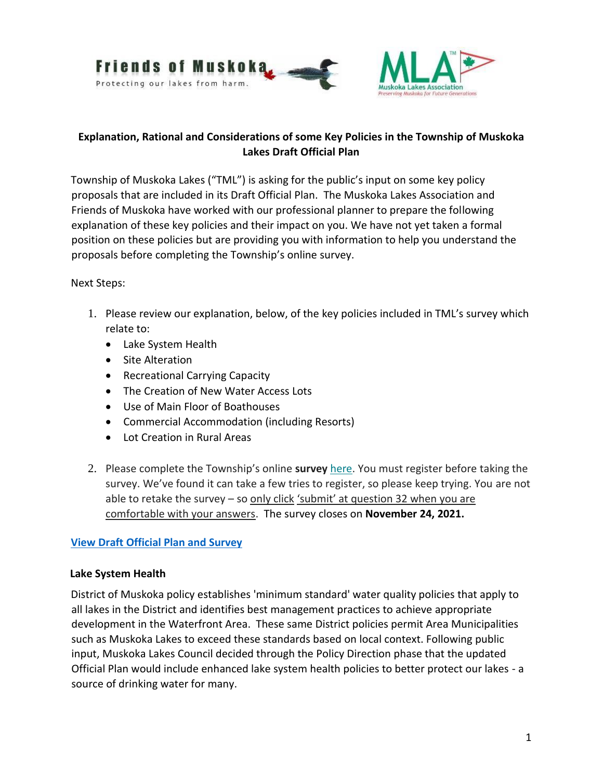

### **Explanation, Rational and Considerations of some Key Policies in the Township of Muskoka Lakes Draft Official Plan**

Township of Muskoka Lakes ("TML") is asking for the public's input on some key policy proposals that are included in its Draft Official Plan. The Muskoka Lakes Association and Friends of Muskoka have worked with our professional planner to prepare the following explanation of these key policies and their impact on you. We have not yet taken a formal position on these policies but are providing you with information to help you understand the proposals before completing the Township's online survey.

### Next Steps:

- 1. Please review our explanation, below, of the key policies included in TML's survey which relate to:
	- Lake System Health
	- Site Alteration
	- Recreational Carrying Capacity
	- The Creation of New Water Access Lots
	- Use of Main Floor of Boathouses
	- Commercial Accommodation (including Resorts)
	- Lot Creation in Rural Areas
- 2. Please complete the Township's online **surve[y](https://mla.us12.list-manage.com/track/click?u=0bc9a57646e52fb01d8c0f1f9&id=aa941d4525&e=5a3a604fd4)** [here.](https://mla.us12.list-manage.com/track/click?u=0bc9a57646e52fb01d8c0f1f9&id=aa941d4525&e=5a3a604fd4) You must register before taking the survey. We've found it can take a few tries to register, so please keep trying. You are not able to retake the survey – so only click 'submit' at question 32 when you are comfortable with your answers. The survey closes on **November 24, 2021.**

### **[View Draft Official Plan and Survey](https://engagemuskokalakes.ca/official-plan-review?_mid_=7132)**

#### **Lake System Health**

District of Muskoka policy establishes 'minimum standard' water quality policies that apply to all lakes in the District and identifies best management practices to achieve appropriate development in the Waterfront Area. These same District policies permit Area Municipalities such as Muskoka Lakes to exceed these standards based on local context. Following public input, Muskoka Lakes Council decided through the Policy Direction phase that the updated Official Plan would include enhanced lake system health policies to better protect our lakes - a source of drinking water for many.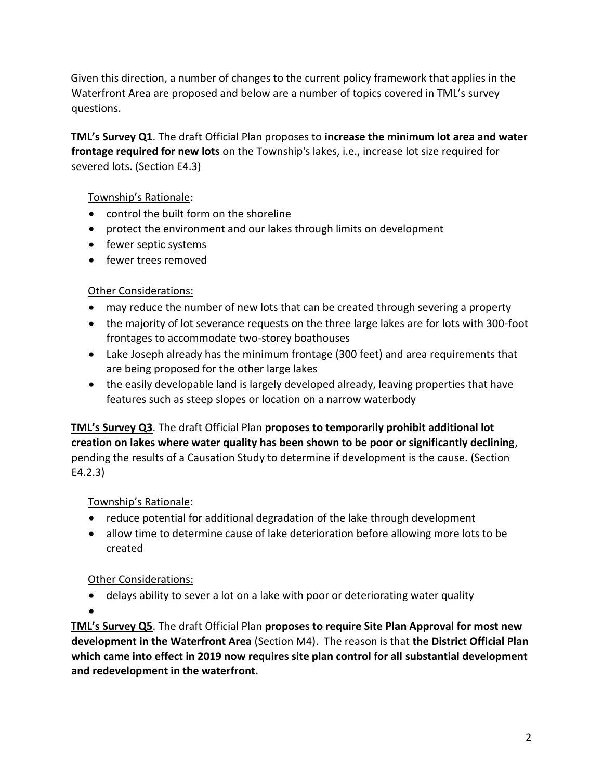Given this direction, a number of changes to the current policy framework that applies in the Waterfront Area are proposed and below are a number of topics covered in TML's survey questions.

**TML's Survey Q1**. The draft Official Plan proposes to **increase the minimum lot area and water frontage required for new lots** on the Township's lakes, i.e., increase lot size required for severed lots. (Section E4.3)

## Township's Rationale:

- control the built form on the shoreline
- protect the environment and our lakes through limits on development
- fewer septic systems
- fewer trees removed

### Other Considerations:

- may reduce the number of new lots that can be created through severing a property
- the majority of lot severance requests on the three large lakes are for lots with 300-foot frontages to accommodate two-storey boathouses
- Lake Joseph already has the minimum frontage (300 feet) and area requirements that are being proposed for the other large lakes
- the easily developable land is largely developed already, leaving properties that have features such as steep slopes or location on a narrow waterbody

**TML's Survey Q3**. The draft Official Plan **proposes to temporarily prohibit additional lot creation on lakes where water quality has been shown to be poor or significantly declining**, pending the results of a Causation Study to determine if development is the cause. (Section E4.2.3)

## Township's Rationale:

- reduce potential for additional degradation of the lake through development
- allow time to determine cause of lake deterioration before allowing more lots to be created

### Other Considerations:

• delays ability to sever a lot on a lake with poor or deteriorating water quality

•

**TML's Survey Q5**. The draft Official Plan **proposes to require Site Plan Approval for most new development in the Waterfront Area** (Section M4). The reason is that **the District Official Plan which came into effect in 2019 now requires site plan control for all substantial development and redevelopment in the waterfront.**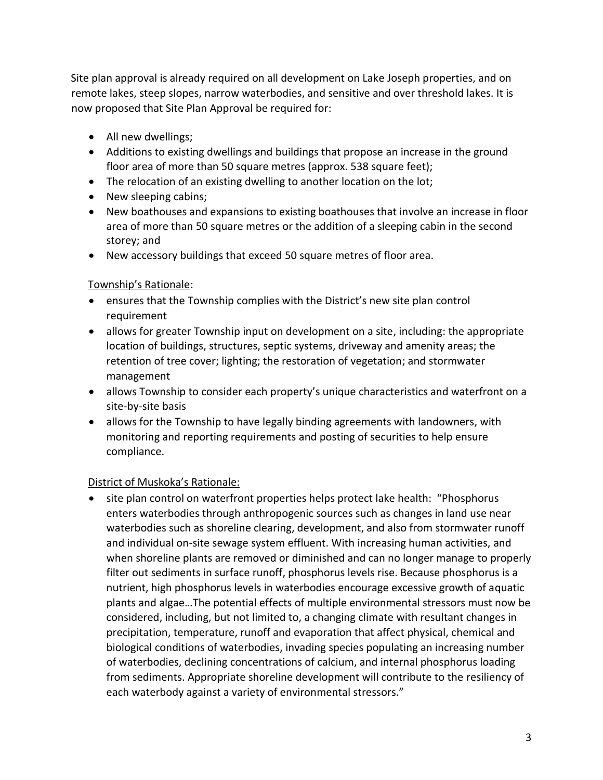Site plan approval is already required on all development on Lake Joseph properties, and on remote lakes, steep slopes, narrow waterbodies, and sensitive and over threshold lakes. It is now proposed that Site Plan Approval be required for:

- All new dwellings;
- Additions to existing dwellings and buildings that propose an increase in the ground floor area of more than 50 square metres (approx. 538 square feet);
- The relocation of an existing dwelling to another location on the lot;
- New sleeping cabins;
- New boathouses and expansions to existing boathouses that involve an increase in floor area of more than 50 square metres or the addition of a sleeping cabin in the second storey; and
- New accessory buildings that exceed 50 square metres of floor area.

### Township's Rationale:

- ensures that the Township complies with the District's new site plan control requirement
- allows for greater Township input on development on a site, including: the appropriate location of buildings, structures, septic systems, driveway and amenity areas; the retention of tree cover; lighting; the restoration of vegetation; and stormwater management
- allows Township to consider each property's unique characteristics and waterfront on a site-by-site basis
- allows for the Township to have legally binding agreements with landowners, with monitoring and reporting requirements and posting of securities to help ensure compliance.

## District of Muskoka's Rationale:

• site plan control on waterfront properties helps protect lake health: "Phosphorus enters waterbodies through anthropogenic sources such as changes in land use near waterbodies such as shoreline clearing, development, and also from stormwater runoff and individual on-site sewage system effluent. With increasing human activities, and when shoreline plants are removed or diminished and can no longer manage to properly filter out sediments in surface runoff, phosphorus levels rise. Because phosphorus is a nutrient, high phosphorus levels in waterbodies encourage excessive growth of aquatic plants and algae…The potential effects of multiple environmental stressors must now be considered, including, but not limited to, a changing climate with resultant changes in precipitation, temperature, runoff and evaporation that affect physical, chemical and biological conditions of waterbodies, invading species populating an increasing number of waterbodies, declining concentrations of calcium, and internal phosphorus loading from sediments. Appropriate shoreline development will contribute to the resiliency of each waterbody against a variety of environmental stressors."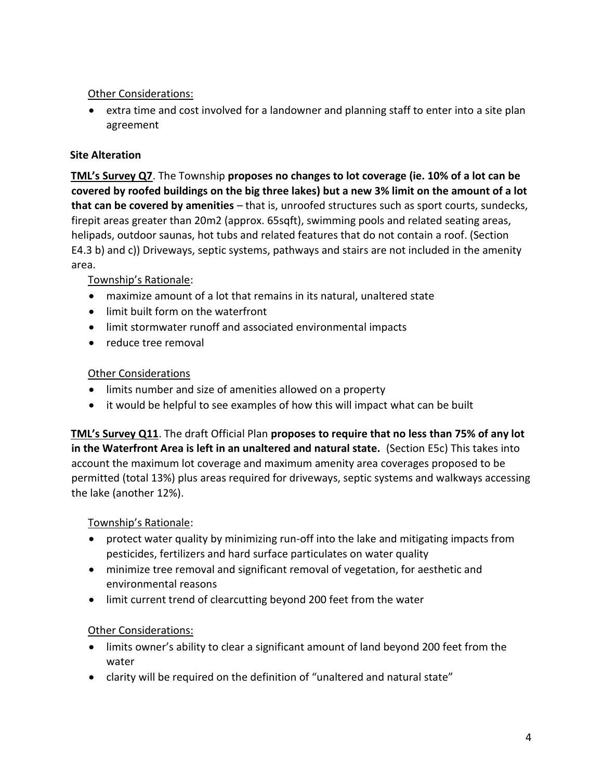## Other Considerations:

• extra time and cost involved for a landowner and planning staff to enter into a site plan agreement

# **Site Alteration**

**TML's Survey Q7**. The Township **proposes no changes to lot coverage (ie. 10% of a lot can be covered by roofed buildings on the big three lakes) but a new 3% limit on the amount of a lot that can be covered by amenities** – that is, unroofed structures such as sport courts, sundecks, firepit areas greater than 20m2 (approx. 65sqft), swimming pools and related seating areas, helipads, outdoor saunas, hot tubs and related features that do not contain a roof. (Section E4.3 b) and c)) Driveways, septic systems, pathways and stairs are not included in the amenity area.

## Township's Rationale:

- maximize amount of a lot that remains in its natural, unaltered state
- limit built form on the waterfront
- limit stormwater runoff and associated environmental impacts
- reduce tree removal

### Other Considerations

- limits number and size of amenities allowed on a property
- it would be helpful to see examples of how this will impact what can be built

**TML's Survey Q11**. The draft Official Plan **proposes to require that no less than 75% of any lot in the Waterfront Area is left in an unaltered and natural state.** (Section E5c) This takes into account the maximum lot coverage and maximum amenity area coverages proposed to be permitted (total 13%) plus areas required for driveways, septic systems and walkways accessing the lake (another 12%).

### Township's Rationale:

- protect water quality by minimizing run-off into the lake and mitigating impacts from pesticides, fertilizers and hard surface particulates on water quality
- minimize tree removal and significant removal of vegetation, for aesthetic and environmental reasons
- limit current trend of clearcutting beyond 200 feet from the water

## Other Considerations:

- limits owner's ability to clear a significant amount of land beyond 200 feet from the water
- clarity will be required on the definition of "unaltered and natural state"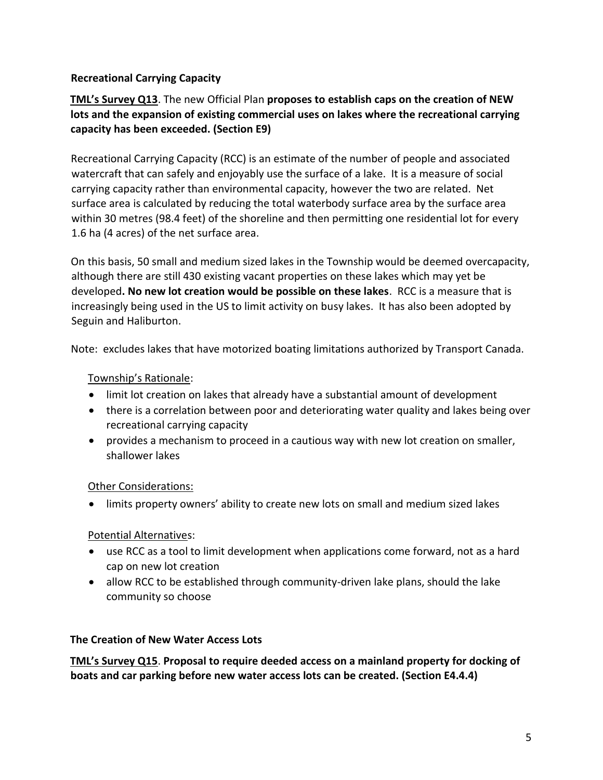### **Recreational Carrying Capacity**

**TML's Survey Q13**. The new Official Plan **proposes to establish caps on the creation of NEW lots and the expansion of existing commercial uses on lakes where the recreational carrying capacity has been exceeded. (Section E9)** 

Recreational Carrying Capacity (RCC) is an estimate of the number of people and associated watercraft that can safely and enjoyably use the surface of a lake. It is a measure of social carrying capacity rather than environmental capacity, however the two are related. Net surface area is calculated by reducing the total waterbody surface area by the surface area within 30 metres (98.4 feet) of the shoreline and then permitting one residential lot for every 1.6 ha (4 acres) of the net surface area.

On this basis, 50 small and medium sized lakes in the Township would be deemed overcapacity, although there are still 430 existing vacant properties on these lakes which may yet be developed**. No new lot creation would be possible on these lakes**. RCC is a measure that is increasingly being used in the US to limit activity on busy lakes. It has also been adopted by Seguin and Haliburton.

Note: excludes lakes that have motorized boating limitations authorized by Transport Canada.

### Township's Rationale:

- limit lot creation on lakes that already have a substantial amount of development
- there is a correlation between poor and deteriorating water quality and lakes being over recreational carrying capacity
- provides a mechanism to proceed in a cautious way with new lot creation on smaller, shallower lakes

### Other Considerations:

• limits property owners' ability to create new lots on small and medium sized lakes

## Potential Alternatives:

- use RCC as a tool to limit development when applications come forward, not as a hard cap on new lot creation
- allow RCC to be established through community-driven lake plans, should the lake community so choose

### **The Creation of New Water Access Lots**

**TML's Survey Q15**. **Proposal to require deeded access on a mainland property for docking of boats and car parking before new water access lots can be created. (Section E4.4.4)**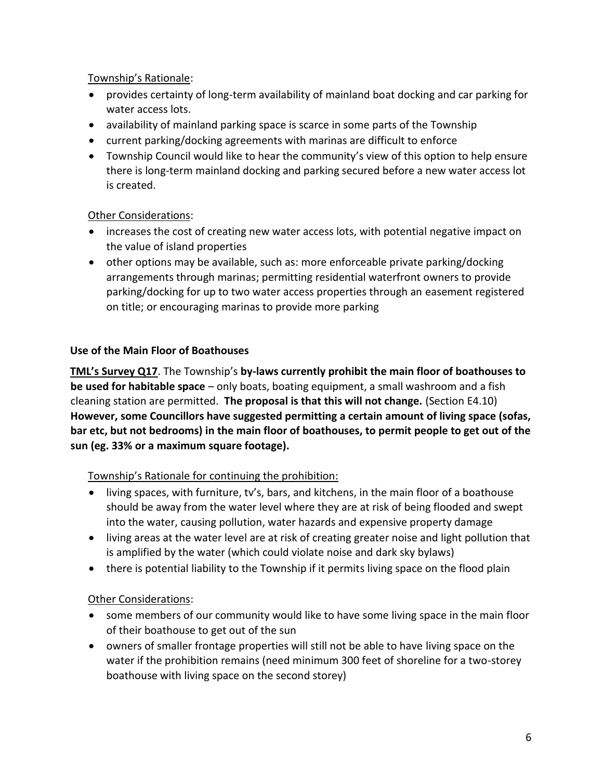### Township's Rationale:

- provides certainty of long-term availability of mainland boat docking and car parking for water access lots.
- availability of mainland parking space is scarce in some parts of the Township
- current parking/docking agreements with marinas are difficult to enforce
- Township Council would like to hear the community's view of this option to help ensure there is long-term mainland docking and parking secured before a new water access lot is created.

### Other Considerations:

- increases the cost of creating new water access lots, with potential negative impact on the value of island properties
- other options may be available, such as: more enforceable private parking/docking arrangements through marinas; permitting residential waterfront owners to provide parking/docking for up to two water access properties through an easement registered on title; or encouraging marinas to provide more parking

### **Use of the Main Floor of Boathouses**

**TML's Survey Q17**. The Township's **by-laws currently prohibit the main floor of boathouses to be used for habitable space** – only boats, boating equipment, a small washroom and a fish cleaning station are permitted. **The proposal is that this will not change.** (Section E4.10) **However, some Councillors have suggested permitting a certain amount of living space (sofas, bar etc, but not bedrooms) in the main floor of boathouses, to permit people to get out of the sun (eg. 33% or a maximum square footage).**

### Township's Rationale for continuing the prohibition:

- living spaces, with furniture, tv's, bars, and kitchens, in the main floor of a boathouse should be away from the water level where they are at risk of being flooded and swept into the water, causing pollution, water hazards and expensive property damage
- living areas at the water level are at risk of creating greater noise and light pollution that is amplified by the water (which could violate noise and dark sky bylaws)
- there is potential liability to the Township if it permits living space on the flood plain

## Other Considerations:

- some members of our community would like to have some living space in the main floor of their boathouse to get out of the sun
- owners of smaller frontage properties will still not be able to have living space on the water if the prohibition remains (need minimum 300 feet of shoreline for a two-storey boathouse with living space on the second storey)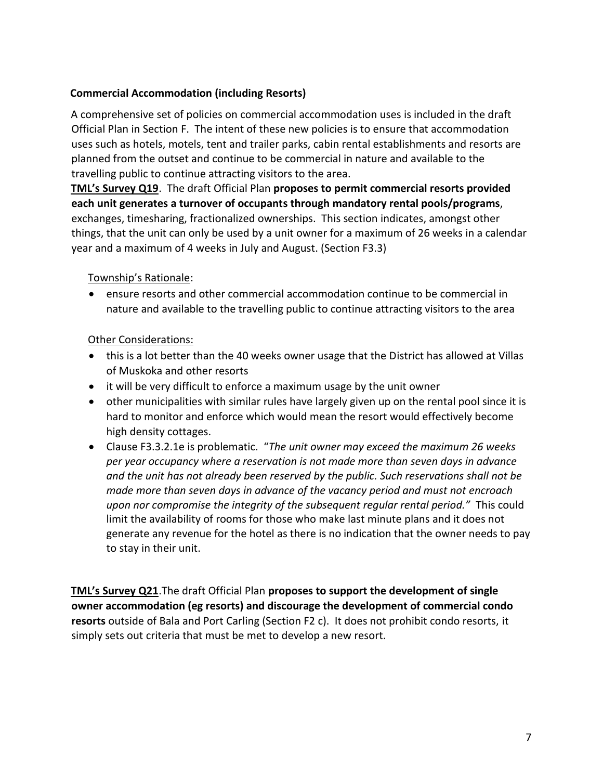### **Commercial Accommodation (including Resorts)**

A comprehensive set of policies on commercial accommodation uses is included in the draft Official Plan in Section F. The intent of these new policies is to ensure that accommodation uses such as hotels, motels, tent and trailer parks, cabin rental establishments and resorts are planned from the outset and continue to be commercial in nature and available to the travelling public to continue attracting visitors to the area.

**TML's Survey Q19**. The draft Official Plan **proposes to permit commercial resorts provided each unit generates a turnover of occupants through mandatory rental pools/programs**, exchanges, timesharing, fractionalized ownerships. This section indicates, amongst other things, that the unit can only be used by a unit owner for a maximum of 26 weeks in a calendar year and a maximum of 4 weeks in July and August. (Section F3.3)

### Township's Rationale:

• ensure resorts and other commercial accommodation continue to be commercial in nature and available to the travelling public to continue attracting visitors to the area

### Other Considerations:

- this is a lot better than the 40 weeks owner usage that the District has allowed at Villas of Muskoka and other resorts
- it will be very difficult to enforce a maximum usage by the unit owner
- other municipalities with similar rules have largely given up on the rental pool since it is hard to monitor and enforce which would mean the resort would effectively become high density cottages.
- Clause F3.3.2.1e is problematic. "*The unit owner may exceed the maximum 26 weeks per year occupancy where a reservation is not made more than seven days in advance and the unit has not already been reserved by the public. Such reservations shall not be made more than seven days in advance of the vacancy period and must not encroach upon nor compromise the integrity of the subsequent regular rental period."* This could limit the availability of rooms for those who make last minute plans and it does not generate any revenue for the hotel as there is no indication that the owner needs to pay to stay in their unit.

**TML's Survey Q21**.The draft Official Plan **proposes to support the development of single owner accommodation (eg resorts) and discourage the development of commercial condo resorts** outside of Bala and Port Carling (Section F2 c). It does not prohibit condo resorts, it simply sets out criteria that must be met to develop a new resort.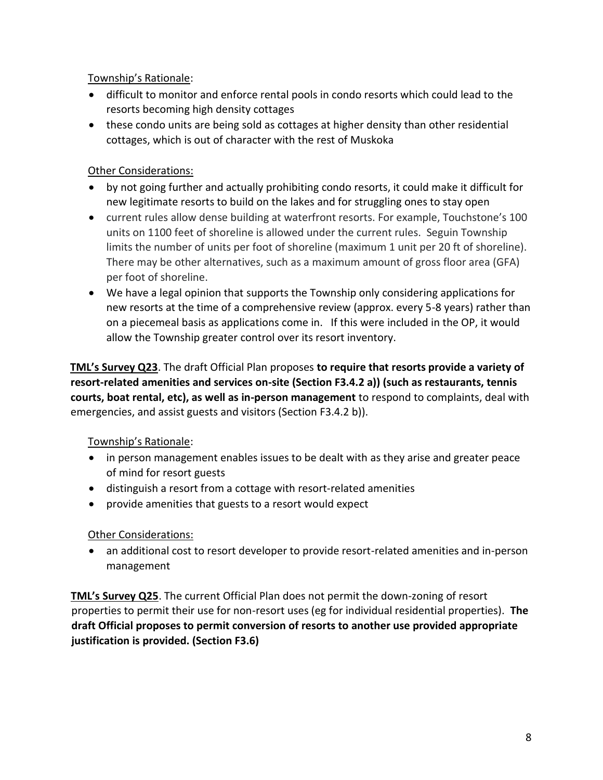Township's Rationale:

- difficult to monitor and enforce rental pools in condo resorts which could lead to the resorts becoming high density cottages
- these condo units are being sold as cottages at higher density than other residential cottages, which is out of character with the rest of Muskoka

## Other Considerations:

- by not going further and actually prohibiting condo resorts, it could make it difficult for new legitimate resorts to build on the lakes and for struggling ones to stay open
- current rules allow dense building at waterfront resorts. For example, Touchstone's 100 units on 1100 feet of shoreline is allowed under the current rules. Seguin Township limits the number of units per foot of shoreline (maximum 1 unit per 20 ft of shoreline). There may be other alternatives, such as a maximum amount of gross floor area (GFA) per foot of shoreline.
- We have a legal opinion that supports the Township only considering applications for new resorts at the time of a comprehensive review (approx. every 5-8 years) rather than on a piecemeal basis as applications come in. If this were included in the OP, it would allow the Township greater control over its resort inventory.

**TML's Survey Q23**. The draft Official Plan proposes **to require that resorts provide a variety of resort-related amenities and services on-site (Section F3.4.2 a)) (such as restaurants, tennis courts, boat rental, etc), as well as in-person management** to respond to complaints, deal with emergencies, and assist guests and visitors (Section F3.4.2 b)).

## Township's Rationale:

- in person management enables issues to be dealt with as they arise and greater peace of mind for resort guests
- distinguish a resort from a cottage with resort-related amenities
- provide amenities that guests to a resort would expect

## Other Considerations:

• an additional cost to resort developer to provide resort-related amenities and in-person management

**TML's Survey Q25**. The current Official Plan does not permit the down-zoning of resort properties to permit their use for non-resort uses (eg for individual residential properties). **The draft Official proposes to permit conversion of resorts to another use provided appropriate justification is provided. (Section F3.6)**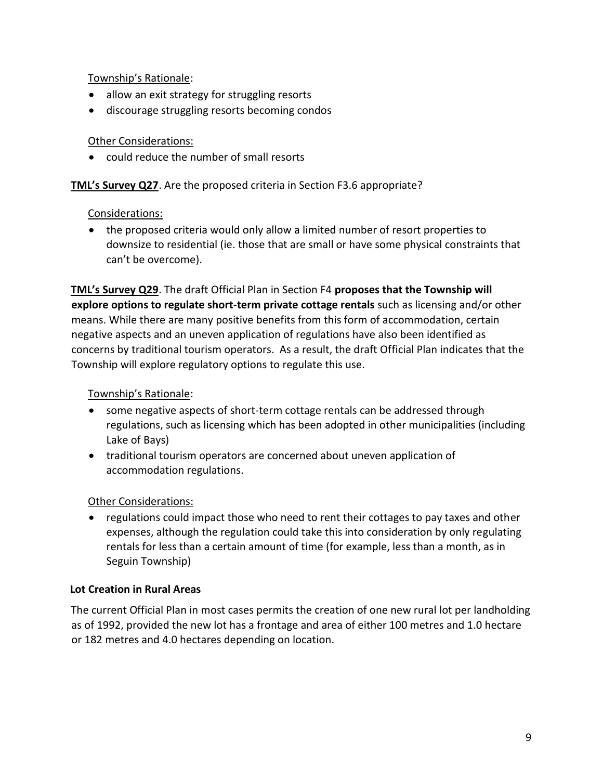Township's Rationale:

- allow an exit strategy for struggling resorts
- discourage struggling resorts becoming condos

### Other Considerations:

• could reduce the number of small resorts

### **TML's Survey Q27**. Are the proposed criteria in Section F3.6 appropriate?

### Considerations:

• the proposed criteria would only allow a limited number of resort properties to downsize to residential (ie. those that are small or have some physical constraints that can't be overcome).

**TML's Survey Q29**. The draft Official Plan in Section F4 **proposes that the Township will explore options to regulate short-term private cottage rentals** such as licensing and/or other means. While there are many positive benefits from this form of accommodation, certain negative aspects and an uneven application of regulations have also been identified as concerns by traditional tourism operators. As a result, the draft Official Plan indicates that the Township will explore regulatory options to regulate this use.

### Township's Rationale:

- some negative aspects of short-term cottage rentals can be addressed through regulations, such as licensing which has been adopted in other municipalities (including Lake of Bays)
- traditional tourism operators are concerned about uneven application of accommodation regulations.

## Other Considerations:

• regulations could impact those who need to rent their cottages to pay taxes and other expenses, although the regulation could take this into consideration by only regulating rentals for less than a certain amount of time (for example, less than a month, as in Seguin Township)

### **Lot Creation in Rural Areas**

The current Official Plan in most cases permits the creation of one new rural lot per landholding as of 1992, provided the new lot has a frontage and area of either 100 metres and 1.0 hectare or 182 metres and 4.0 hectares depending on location.